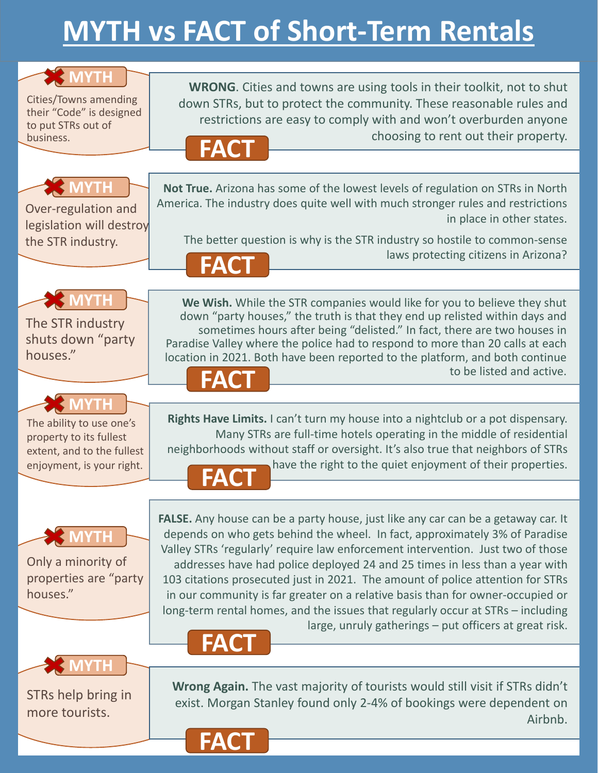## **MYTH vs FACT of Short‐Term Rentals**